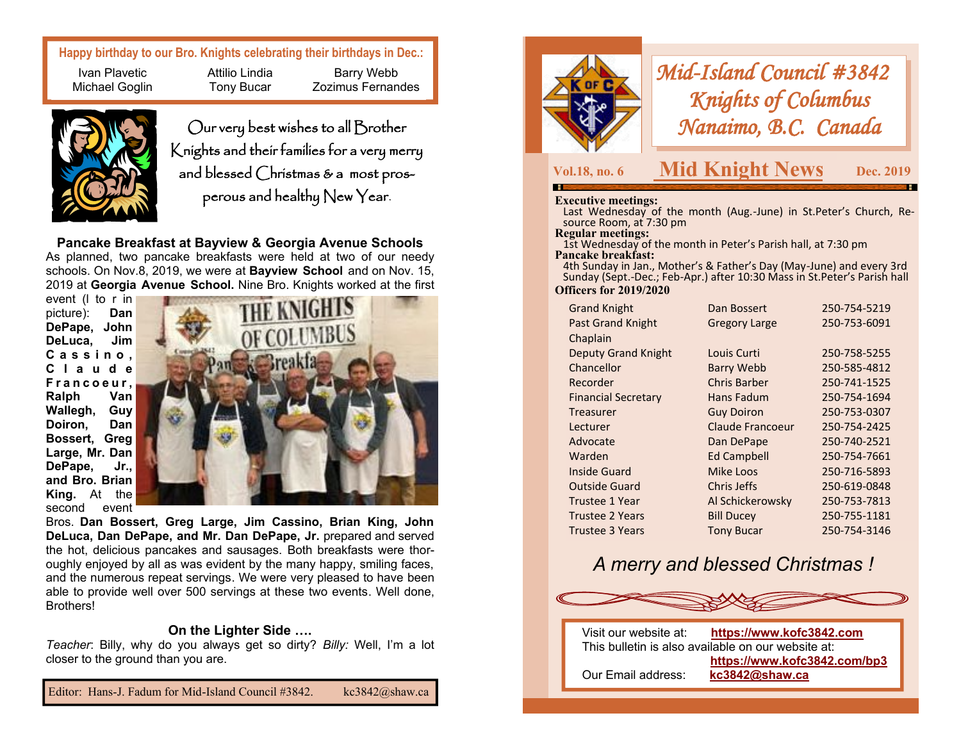**Happy birthday to our Bro. Knights celebrating their birthdays in Dec.:**

Ivan Plavetic Michael Goglin Attilio Lindia Tony Bucar



Our very best wishes to all Brother Knights and their families for a very merry and blessed Christmas & a most prosperous and healthy New Year.

Barry Webb Zozimus Fernandes

**Pancake Breakfast at Bayview & Georgia Avenue Schools** As planned, two pancake breakfasts were held at two of our needy schools. On Nov.8, 2019, we were at **Bayview School** and on Nov. 15, 2019 at **Georgia Avenue School.** Nine Bro. Knights worked at the first

event (l to r in picture): **Dan DePape, John DeLuca, Jim C a s s i n o , C l a u d e F r a n c o e u r , Ralph Van Wallegh, Guy Doiron, Dan Bossert, Greg Large, Mr. Dan DePape, Jr., and Bro. Brian King.** At the second event



Bros. **Dan Bossert, Greg Large, Jim Cassino, Brian King, John DeLuca, Dan DePape, and Mr. Dan DePape, Jr.** prepared and served the hot, delicious pancakes and sausages. Both breakfasts were thoroughly enjoyed by all as was evident by the many happy, smiling faces, and the numerous repeat servings. We were very pleased to have been able to provide well over 500 servings at these two events. Well done, Brothers!

## **On the Lighter Side ….**

*Teacher*: Billy, why do you always get so dirty? *Billy:* Well, I'm a lot closer to the ground than you are.



*Mid-Island Council #3842 Knights of Columbus Nanaimo, B.C. Canada* 

# **Vol.18, no. 6 Mid Knight News**

 **Dec. 2019** 

#### **Executive meetings:**

 Last Wednesday of the month (Aug.-June) in St.Peter's Church, Resource Room, at 7:30 pm

**Regular meetings:** 

 1st Wednesday of the month in Peter's Parish hall, at 7:30 pm **Pancake breakfast:**

 4th Sunday in Jan., Mother's & Father's Day (May-June) and every 3rd Sunday (Sept.-Dec.; Feb-Apr.) after 10:30 Mass in St.Peter's Parish hall

### **Officers for 2019/2020**

| <b>Grand Knight</b>        | Dan Bossert          | 250-754-5219 |
|----------------------------|----------------------|--------------|
| <b>Past Grand Knight</b>   | <b>Gregory Large</b> | 250-753-6091 |
| Chaplain                   |                      |              |
| <b>Deputy Grand Knight</b> | Louis Curti          | 250-758-5255 |
| Chancellor                 | <b>Barry Webb</b>    | 250-585-4812 |
| Recorder                   | Chris Barber         | 250-741-1525 |
| <b>Financial Secretary</b> | Hans Fadum           | 250-754-1694 |
| Treasurer                  | <b>Guy Doiron</b>    | 250-753-0307 |
| Lecturer                   | Claude Francoeur     | 250-754-2425 |
| Advocate                   | Dan DePape           | 250-740-2521 |
| Warden                     | <b>Ed Campbell</b>   | 250-754-7661 |
| <b>Inside Guard</b>        | Mike Loos            | 250-716-5893 |
| <b>Outside Guard</b>       | Chris Jeffs          | 250-619-0848 |
| Trustee 1 Year             | Al Schickerowsky     | 250-753-7813 |
| <b>Trustee 2 Years</b>     | <b>Bill Ducey</b>    | 250-755-1181 |
| Trustee 3 Years            | <b>Tony Bucar</b>    | 250-754-3146 |

# *A merry and blessed Christmas !*